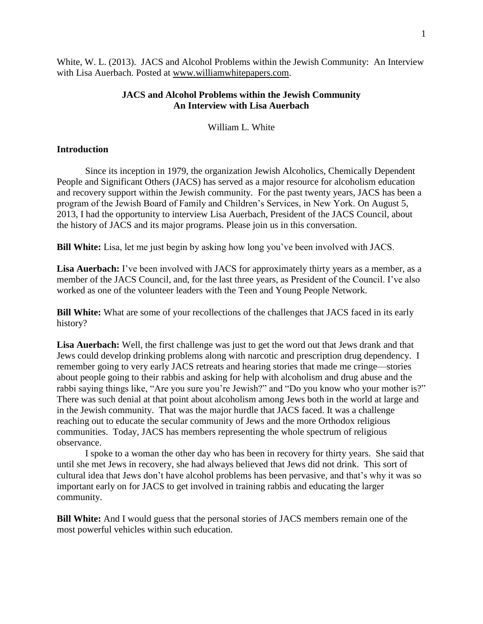White, W. L. (2013). JACS and Alcohol Problems within the Jewish Community: An Interview with Lisa Auerbach. Posted at [www.williamwhitepapers.com.](http://www.williamwhitepapers.com/)

## **JACS and Alcohol Problems within the Jewish Community An Interview with Lisa Auerbach**

William L. White

## **Introduction**

Since its inception in 1979, the organization Jewish Alcoholics, Chemically Dependent People and Significant Others (JACS) has served as a major resource for alcoholism education and recovery support within the Jewish community. For the past twenty years, JACS has been a program of the Jewish Board of Family and Children's Services, in New York. On August 5, 2013, I had the opportunity to interview Lisa Auerbach, President of the JACS Council, about the history of JACS and its major programs. Please join us in this conversation.

**Bill White:** Lisa, let me just begin by asking how long you've been involved with JACS.

Lisa Auerbach: I've been involved with JACS for approximately thirty years as a member, as a member of the JACS Council, and, for the last three years, as President of the Council. I've also worked as one of the volunteer leaders with the Teen and Young People Network.

**Bill White:** What are some of your recollections of the challenges that JACS faced in its early history?

Lisa Auerbach: Well, the first challenge was just to get the word out that Jews drank and that Jews could develop drinking problems along with narcotic and prescription drug dependency. I remember going to very early JACS retreats and hearing stories that made me cringe—stories about people going to their rabbis and asking for help with alcoholism and drug abuse and the rabbi saying things like, "Are you sure you're Jewish?" and "Do you know who your mother is?" There was such denial at that point about alcoholism among Jews both in the world at large and in the Jewish community. That was the major hurdle that JACS faced. It was a challenge reaching out to educate the secular community of Jews and the more Orthodox religious communities. Today, JACS has members representing the whole spectrum of religious observance.

I spoke to a woman the other day who has been in recovery for thirty years. She said that until she met Jews in recovery, she had always believed that Jews did not drink. This sort of cultural idea that Jews don't have alcohol problems has been pervasive, and that's why it was so important early on for JACS to get involved in training rabbis and educating the larger community.

**Bill White:** And I would guess that the personal stories of JACS members remain one of the most powerful vehicles within such education.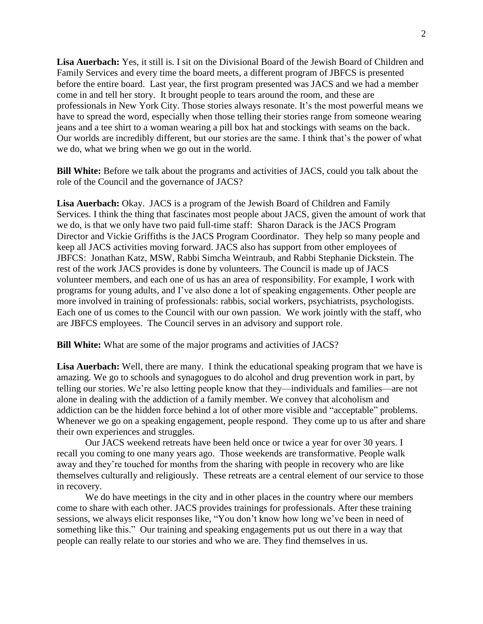**Lisa Auerbach:** Yes, it still is. I sit on the Divisional Board of the Jewish Board of Children and Family Services and every time the board meets, a different program of JBFCS is presented before the entire board. Last year, the first program presented was JACS and we had a member come in and tell her story. It brought people to tears around the room, and these are professionals in New York City. Those stories always resonate. It's the most powerful means we have to spread the word, especially when those telling their stories range from someone wearing jeans and a tee shirt to a woman wearing a pill box hat and stockings with seams on the back. Our worlds are incredibly different, but our stories are the same. I think that's the power of what we do, what we bring when we go out in the world.

**Bill White:** Before we talk about the programs and activities of JACS, could you talk about the role of the Council and the governance of JACS?

**Lisa Auerbach:** Okay. JACS is a program of the Jewish Board of Children and Family Services. I think the thing that fascinates most people about JACS, given the amount of work that we do, is that we only have two paid full-time staff: Sharon Darack is the JACS Program Director and Vickie Griffiths is the JACS Program Coordinator. They help so many people and keep all JACS activities moving forward. JACS also has support from other employees of JBFCS: Jonathan Katz, MSW, Rabbi Simcha Weintraub, and Rabbi Stephanie Dickstein. The rest of the work JACS provides is done by volunteers. The Council is made up of JACS volunteer members, and each one of us has an area of responsibility. For example, I work with programs for young adults, and I've also done a lot of speaking engagements. Other people are more involved in training of professionals: rabbis, social workers, psychiatrists, psychologists. Each one of us comes to the Council with our own passion. We work jointly with the staff, who are JBFCS employees. The Council serves in an advisory and support role.

**Bill White:** What are some of the major programs and activities of JACS?

Lisa Auerbach: Well, there are many. I think the educational speaking program that we have is amazing. We go to schools and synagogues to do alcohol and drug prevention work in part, by telling our stories. We're also letting people know that they—individuals and families—are not alone in dealing with the addiction of a family member. We convey that alcoholism and addiction can be the hidden force behind a lot of other more visible and "acceptable" problems. Whenever we go on a speaking engagement, people respond. They come up to us after and share their own experiences and struggles.

Our JACS weekend retreats have been held once or twice a year for over 30 years. I recall you coming to one many years ago. Those weekends are transformative. People walk away and they're touched for months from the sharing with people in recovery who are like themselves culturally and religiously. These retreats are a central element of our service to those in recovery.

We do have meetings in the city and in other places in the country where our members come to share with each other. JACS provides trainings for professionals. After these training sessions, we always elicit responses like, "You don't know how long we've been in need of something like this." Our training and speaking engagements put us out there in a way that people can really relate to our stories and who we are. They find themselves in us.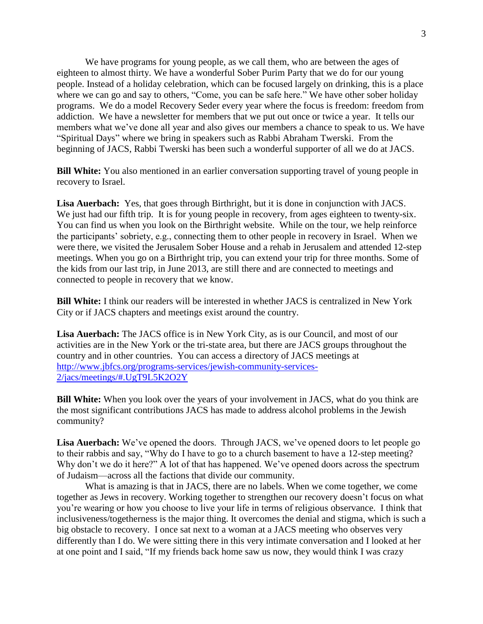We have programs for young people, as we call them, who are between the ages of eighteen to almost thirty. We have a wonderful Sober Purim Party that we do for our young people. Instead of a holiday celebration, which can be focused largely on drinking, this is a place where we can go and say to others, "Come, you can be safe here." We have other sober holiday programs. We do a model Recovery Seder every year where the focus is freedom: freedom from addiction. We have a newsletter for members that we put out once or twice a year. It tells our members what we've done all year and also gives our members a chance to speak to us. We have "Spiritual Days" where we bring in speakers such as Rabbi Abraham Twerski. From the beginning of JACS, Rabbi Twerski has been such a wonderful supporter of all we do at JACS.

**Bill White:** You also mentioned in an earlier conversation supporting travel of young people in recovery to Israel.

**Lisa Auerbach:** Yes, that goes through Birthright, but it is done in conjunction with JACS. We just had our fifth trip. It is for young people in recovery, from ages eighteen to twenty-six. You can find us when you look on the Birthright website. While on the tour, we help reinforce the participants' sobriety, e.g., connecting them to other people in recovery in Israel. When we were there, we visited the Jerusalem Sober House and a rehab in Jerusalem and attended 12-step meetings. When you go on a Birthright trip, you can extend your trip for three months. Some of the kids from our last trip, in June 2013, are still there and are connected to meetings and connected to people in recovery that we know.

**Bill White:** I think our readers will be interested in whether JACS is centralized in New York City or if JACS chapters and meetings exist around the country.

**Lisa Auerbach:** The JACS office is in New York City, as is our Council, and most of our activities are in the New York or the tri-state area, but there are JACS groups throughout the country and in other countries. You can access a directory of JACS meetings at [http://www.jbfcs.org/programs-services/jewish-community-services-](http://www.jbfcs.org/programs-services/jewish-community-services-2/jacs/meetings/#.UgT9L5K2O2Y)[2/jacs/meetings/#.UgT9L5K2O2Y](http://www.jbfcs.org/programs-services/jewish-community-services-2/jacs/meetings/#.UgT9L5K2O2Y)

**Bill White:** When you look over the years of your involvement in JACS, what do you think are the most significant contributions JACS has made to address alcohol problems in the Jewish community?

**Lisa Auerbach:** We've opened the doors. Through JACS, we've opened doors to let people go to their rabbis and say, "Why do I have to go to a church basement to have a 12-step meeting? Why don't we do it here?" A lot of that has happened. We've opened doors across the spectrum of Judaism—across all the factions that divide our community.

What is amazing is that in JACS, there are no labels. When we come together, we come together as Jews in recovery. Working together to strengthen our recovery doesn't focus on what you're wearing or how you choose to live your life in terms of religious observance. I think that inclusiveness/togetherness is the major thing. It overcomes the denial and stigma, which is such a big obstacle to recovery. I once sat next to a woman at a JACS meeting who observes very differently than I do. We were sitting there in this very intimate conversation and I looked at her at one point and I said, "If my friends back home saw us now, they would think I was crazy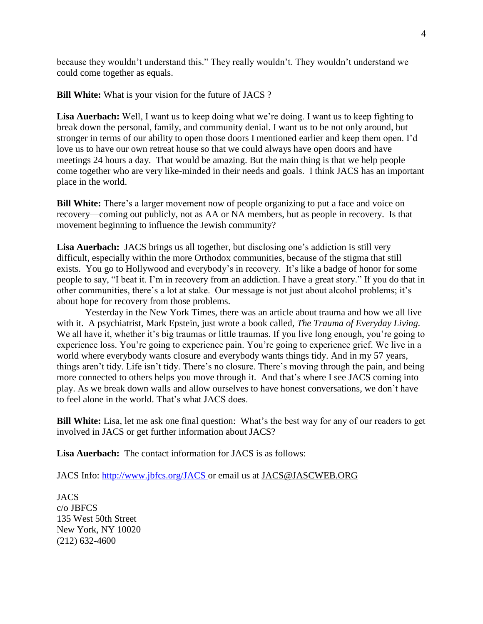because they wouldn't understand this." They really wouldn't. They wouldn't understand we could come together as equals.

**Bill White:** What is your vision for the future of JACS ?

Lisa Auerbach: Well, I want us to keep doing what we're doing. I want us to keep fighting to break down the personal, family, and community denial. I want us to be not only around, but stronger in terms of our ability to open those doors I mentioned earlier and keep them open. I'd love us to have our own retreat house so that we could always have open doors and have meetings 24 hours a day. That would be amazing. But the main thing is that we help people come together who are very like-minded in their needs and goals. I think JACS has an important place in the world.

**Bill White:** There's a larger movement now of people organizing to put a face and voice on recovery—coming out publicly, not as AA or NA members, but as people in recovery. Is that movement beginning to influence the Jewish community?

**Lisa Auerbach:** JACS brings us all together, but disclosing one's addiction is still very difficult, especially within the more Orthodox communities, because of the stigma that still exists. You go to Hollywood and everybody's in recovery. It's like a badge of honor for some people to say, "I beat it. I'm in recovery from an addiction. I have a great story." If you do that in other communities, there's a lot at stake. Our message is not just about alcohol problems; it's about hope for recovery from those problems.

Yesterday in the New York Times, there was an article about trauma and how we all live with it. A psychiatrist, Mark Epstein, just wrote a book called, *The Trauma of Everyday Living.* We all have it, whether it's big traumas or little traumas. If you live long enough, you're going to experience loss. You're going to experience pain. You're going to experience grief. We live in a world where everybody wants closure and everybody wants things tidy. And in my 57 years, things aren't tidy. Life isn't tidy. There's no closure. There's moving through the pain, and being more connected to others helps you move through it. And that's where I see JACS coming into play. As we break down walls and allow ourselves to have honest conversations, we don't have to feel alone in the world. That's what JACS does.

**Bill White:** Lisa, let me ask one final question: What's the best way for any of our readers to get involved in JACS or get further information about JACS?

**Lisa Auerbach:** The contact information for JACS is as follows:

JACS Info:<http://www.jbfcs.org/JACS> or email us at [JACS@JASCWEB.ORG](mailto:JACS@JASCWEB.ORG)

JACS c/o JBFCS 135 West 50th Street New York, NY 10020 (212) 632-4600